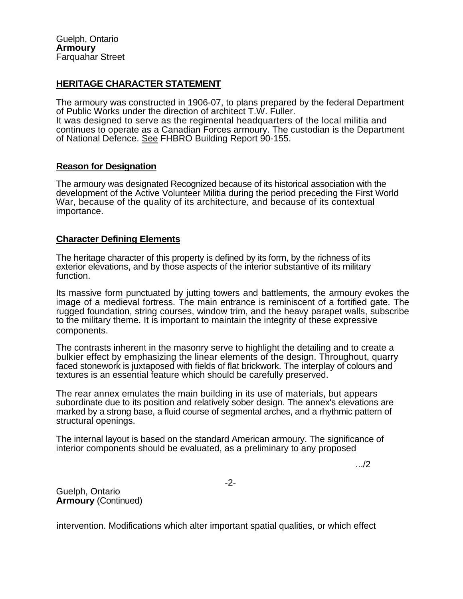## **HERITAGE CHARACTER STATEMENT**

The armoury was constructed in 1906-07, to plans prepared by the federal Department of Public Works under the direction of architect T.W. Fuller. It was designed to serve as the regimental headquarters of the local militia and continues to operate as a Canadian Forces armoury. The custodian is the Department of National Defence. See FHBRO Building Report 90-155.

## **Reason for Designation**

The armoury was designated Recognized because of its historical association with the development of the Active Volunteer Militia during the period preceding the First World War, because of the quality of its architecture, and because of its contextual importance.

## **Character Defining Elements**

The heritage character of this property is defined by its form, by the richness of its exterior elevations, and by those aspects of the interior substantive of its military function.

Its massive form punctuated by jutting towers and battlements, the armoury evokes the image of a medieval fortress. The main entrance is reminiscent of a fortified gate. The rugged foundation, string courses, window trim, and the heavy parapet walls, subscribe to the military theme. It is important to maintain the integrity of these expressive components.

The contrasts inherent in the masonry serve to highlight the detailing and to create a bulkier effect by emphasizing the linear elements of the design. Throughout, quarry faced stonework is juxtaposed with fields of flat brickwork. The interplay of colours and textures is an essential feature which should be carefully preserved.

The rear annex emulates the main building in its use of materials, but appears subordinate due to its position and relatively sober design. The annex's elevations are marked by a strong base, a fluid course of segmental arches, and a rhythmic pattern of structural openings.

The internal layout is based on the standard American armoury. The significance of interior components should be evaluated, as a preliminary to any proposed

.../2

-2-

Guelph, Ontario **Armoury** (Continued)

intervention. Modifications which alter important spatial qualities, or which effect